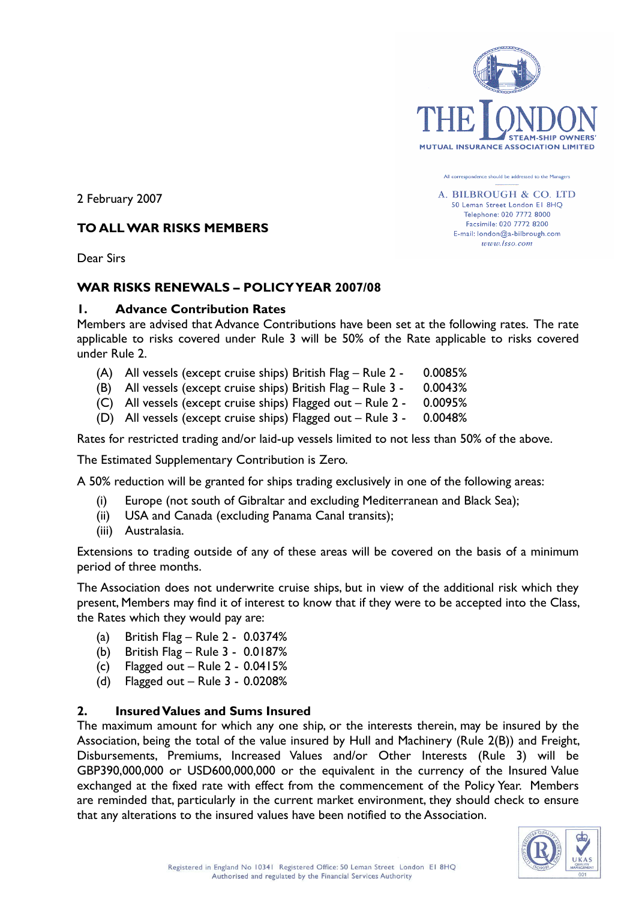

All correspondence should be addressed to the Managers

A. BILBROUGH & CO. LTD 50 Leman Street London E1 8HQ Telephone: 020 7772 8000 Facsimile: 020 7772 8200 E-mail: london@a-bilbrough.com www.lsso.com

2 February 2007

#### **TO ALL WAR RISKS MEMBERS**

Dear Sirs

#### **WAR RISKS RENEWALS – POLICY YEAR 2007/08**

#### **1. Advance Contribution Rates**

Members are advised that Advance Contributions have been set at the following rates. The rate applicable to risks covered under Rule 3 will be 50% of the Rate applicable to risks covered under Rule 2.

- (A) All vessels (except cruise ships) British Flag Rule 2 0.0085%
- (B) All vessels (except cruise ships) British Flag Rule 3 0.0043%
- (C) All vessels (except cruise ships) Flagged out Rule 2 0.0095%
- (D) All vessels (except cruise ships) Flagged out Rule 3 0.0048%

Rates for restricted trading and/or laid-up vessels limited to not less than 50% of the above.

The Estimated Supplementary Contribution is Zero.

A 50% reduction will be granted for ships trading exclusively in one of the following areas:

- (i) Europe (not south of Gibraltar and excluding Mediterranean and Black Sea);
- (ii) USA and Canada (excluding Panama Canal transits);
- (iii) Australasia.

Extensions to trading outside of any of these areas will be covered on the basis of a minimum period of three months.

The Association does not underwrite cruise ships, but in view of the additional risk which they present, Members may find it of interest to know that if they were to be accepted into the Class, the Rates which they would pay are:

- (a) British Flag Rule 2 0.0374%
- (b) British Flag Rule 3 0.0187%
- (c) Flagged out Rule 2 0.0415%
- (d) Flagged out Rule 3 0.0208%

#### **2. Insured Values and Sums Insured**

The maximum amount for which any one ship, or the interests therein, may be insured by the Association, being the total of the value insured by Hull and Machinery (Rule 2(B)) and Freight, Disbursements, Premiums, Increased Values and/or Other Interests (Rule 3) will be GBP390,000,000 or USD600,000,000 or the equivalent in the currency of the Insured Value exchanged at the fixed rate with effect from the commencement of the Policy Year. Members are reminded that, particularly in the current market environment, they should check to ensure that any alterations to the insured values have been notified to the Association.

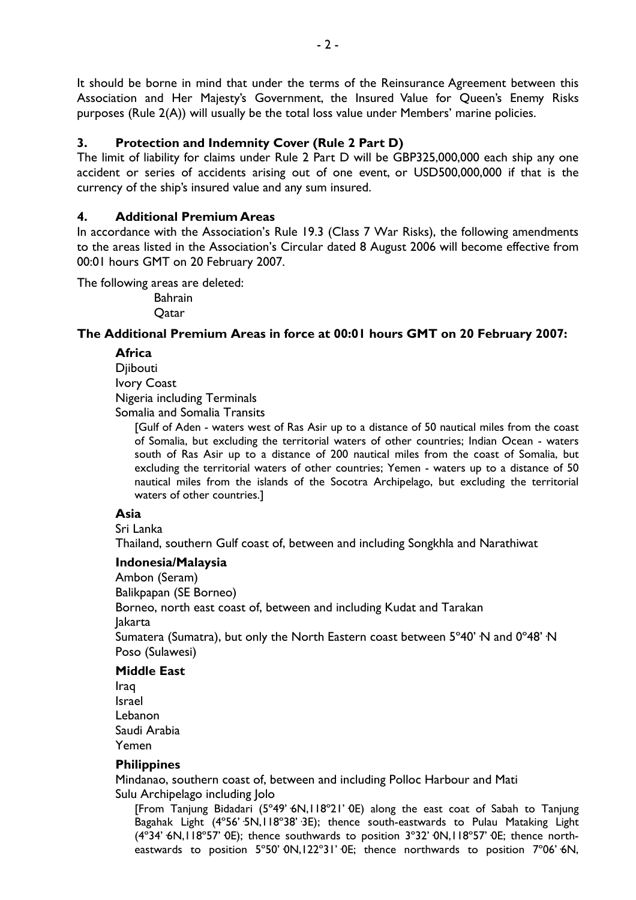It should be borne in mind that under the terms of the Reinsurance Agreement between this Association and Her Majesty's Government, the Insured Value for Queen's Enemy Risks purposes (Rule 2(A)) will usually be the total loss value under Members' marine policies.

# **3. Protection and Indemnity Cover (Rule 2 Part D)**

The limit of liability for claims under Rule 2 Part D will be GBP325,000,000 each ship any one accident or series of accidents arising out of one event, or USD500,000,000 if that is the currency of the ship's insured value and any sum insured.

# **4. Additional Premium Areas**

In accordance with the Association's Rule 19.3 (Class 7 War Risks), the following amendments to the areas listed in the Association's Circular dated 8 August 2006 will become effective from 00:01 hours GMT on 20 February 2007.

The following areas are deleted:

Bahrain **O**atar

# **The Additional Premium Areas in force at 00:01 hours GMT on 20 February 2007:**

**Africa**

Djibouti Ivory Coast Nigeria including Terminals

Somalia and Somalia Transits

[Gulf of Aden - waters west of Ras Asir up to a distance of 50 nautical miles from the coast of Somalia, but excluding the territorial waters of other countries; Indian Ocean - waters south of Ras Asir up to a distance of 200 nautical miles from the coast of Somalia, but excluding the territorial waters of other countries; Yemen - waters up to a distance of 50 nautical miles from the islands of the Socotra Archipelago, but excluding the territorial waters of other countries.]

### **Asia**

Sri Lanka

Thailand, southern Gulf coast of, between and including Songkhla and Narathiwat

### **Indonesia/Malaysia**

Ambon (Seram)

Balikpapan (SE Borneo)

Borneo, north east coast of, between and including Kudat and Tarakan

Jakarta

Sumatera (Sumatra), but only the North Eastern coast between 5°40' N and 0°48' N Poso (Sulawesi)

#### **Middle East**

Iraq Israel Lebanon Saudi Arabia Yemen

### **Philippines**

Mindanao, southern coast of, between and including Polloc Harbour and Mati Sulu Archipelago including Jolo

[From Tanjung Bidadari (5°49' 6N,118°21' 0E) along the east coat of Sabah to Tanjung Bagahak Light (4°56'·5N,118°38'·3E); thence south-eastwards to Pulau Mataking Light (4°34' 6N,118°57' OE); thence southwards to position 3°32' ON,118°57' OE; thence northeastwards to position 5°50' 0N,122°31' 0E; thence northwards to position 7°06' 6N,